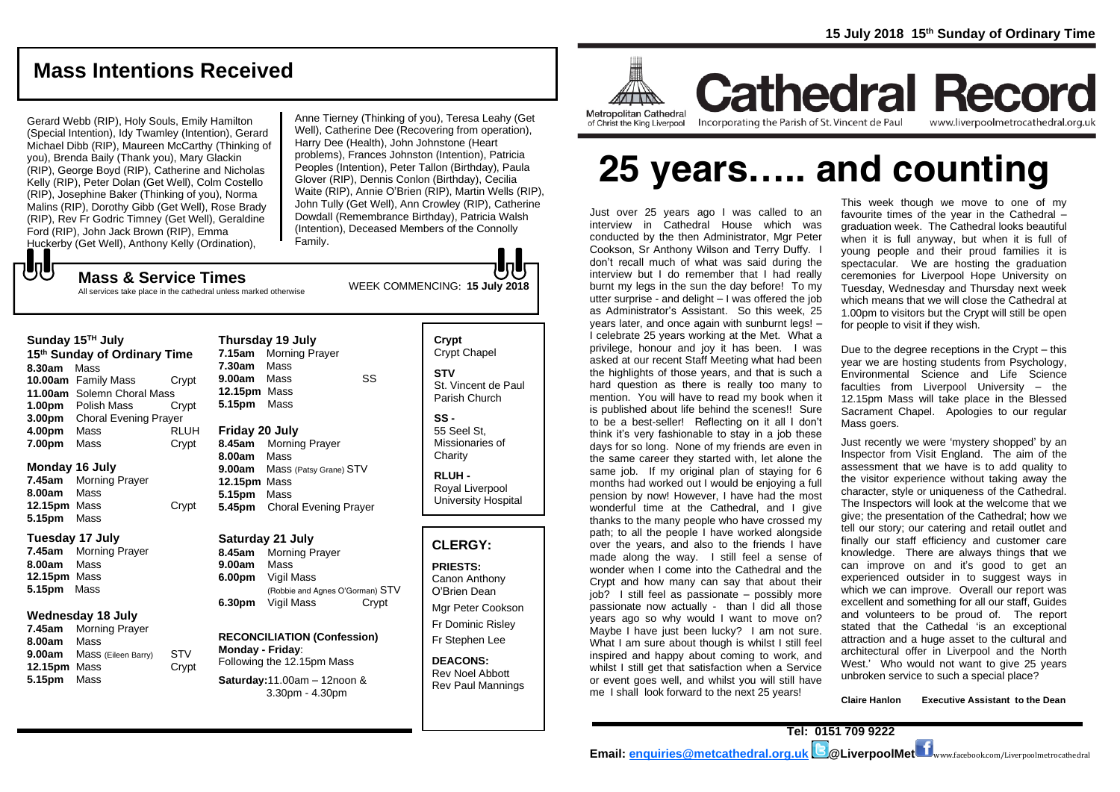## **Mass Intentions Received**

Gerard Webb (RIP), Holy Souls, Emily Hamilton (Special Intention), Idy Twamley (Intention), Gerard Michael Dibb (RIP), Maureen McCarthy (Thinking of you), Brenda Baily (Thank you), Mary Glackin (RIP), George Boyd (RIP), Catherine and Nicholas Kelly (RIP), Peter Dolan (Get Well), Colm Costello (RIP), Josephine Baker (Thinking of you), Norma Malins (RIP), Dorothy Gibb (Get Well), Rose Brady (RIP), Rev Fr Godric Timney (Get Well), Geraldine Ford (RIP), John Jack Brown (RIP), Emma Huckerby (Get Well), Anthony Kelly (Ordination),

Anne Tierney (Thinking of you), Teresa Leahy (Get Well), Catherine Dee (Recovering from operation), Harry Dee (Health), John Johnstone (Heart problems), Frances Johnston (Intention), Patricia Peoples (Intention), Peter Tallon (Birthday), Paula Glover (RIP), Dennis Conlon (Birthday), Cecilia Waite (RIP), Annie O'Brien (RIP), Martin Wells (RIP), John Tully (Get Well), Ann Crowley (RIP), Catherine Dowdall (Remembrance Birthday), Patricia Walsh (Intention), Deceased Members of the Connolly Family.

WEEK COMMENCING: **<sup>15</sup> July <sup>2018</sup> Mass & Service Times** All services take place in the cathedral unless marked otherwise

#### **Sunday 15TH July**

もし

**15 th Sunday of Ordinary Time 8.30am** Mass **10.00am** Family Mass Crypt **11.00am** Solemn Choral Mass **1.00pm** Polish Mass Crypt **3.00pm** Choral Evening Prayer **4.00pm** Mass RLUH **7.00pm** Mass Crypt

#### **Monday 16 July**

**7.45am** Morning Prayer **8.00am** Mass **12.15pm** Mass Crypt **5.15pm** Mass

#### **Tuesday 17 July**

**7.45am** Morning Prayer **8.00am** Mass **12.15pm** Mass **5.15pm** Mass

#### **Wednesday 18 July**

**7.45am** Morning Prayer **8.00am** Mass **9.00am** Mass (Eileen Barry) STV **12.15pm** Mass Crypt **5.15pm** Mass

**Thursday 19 July 7.15am** Morning Prayer **7.30am** Mass **9.00am** Mass SS **12.15pm** Mass **5.15pm** Mass

#### **Friday 20 July**

**8.45am** Morning Prayer **8.00am** Mass **9.00am** Mass (Patsy Grane) STV **12.15pm** Mass **5.15pm** Mass **5.45pm** Choral Evening Prayer

#### **Saturday 21 July**

**8.45am** Morning Prayer **9.00am** Mass **6.00pm** Vigil Mass (Robbie and Agnes O'Gorman) STV **6.30pm** Vigil Mass Crypt

#### **RECONCILIATION (Confession) Monday - Friday**:

Following the 12.15pm Mass **Saturday:**11.00am – 12noon & 3.30pm - 4.30pm

**Crypt**  Crypt Chapel **STV** St. Vincent de Paul Parish Church

**SS -** 55 Seel St, Missionaries of **Charity** 

**RLUH -** Royal Liverpool University Hospital

#### **CLERGY:**

**PRIESTS:** Canon Anthony O'Brien *Dean* Mgr Peter Cookson

Fr Dominic Risley Fr Stephen Lee

**DEACONS:** Rev Noel Abbott Rev Paul Mannings



of Christ the King Liverpool

**Cathedral Record** Incorporating the Parish of St. Vincent de Paul www.liverpoolmetrocathedral.org.uk

# **25 years….. and counting**

Just over 25 years ago I was called to an interview in Cathedral House which was conducted by the then Administrator, Mar Peter Cookson, Sr Anthony Wilson and Terry Duffy. I don't recall much of what was said during the interview but I do remember that I had really burnt my legs in the sun the day before! To my utter surprise - and delight – I was offered the job as Administrator's Assistant. So this week, 25 years later, and once again with sunburnt legs! -I celebrate 25 years working at the Met. What a privilege, honour and joy it has been. I was asked at our recent Staff Meeting what had been the highlights of those years, and that is such a hard question as there is really too many to mention. You will have to read my book when it is published about life behind the scenes!! Sure to be a best-seller! Reflecting on it all I don't think it's very fashionable to stay in a job these days for so long. None of my friends are even in the same career they started with, let alone the same job. If my original plan of staying for 6 months had worked out I would be enjoying a full pension by now! However, I have had the most wonderful time at the Cathedral, and I give thanks to the many people who have crossed my path; to all the people I have worked alongside over the years, and also to the friends I have made along the way. I still feel a sense of wonder when I come into the Cathedral and the Crypt and how many can say that about their job? I still feel as passionate – possibly more passionate now actually - than I did all those years ago so why would I want to move on? Maybe I have just been lucky? I am not sure. What I am sure about though is whilst I still feel inspired and happy about coming to work, and whilst I still get that satisfaction when a Service or event goes well, and whilst you will still have me I shall look forward to the next 25 years!

This week though we move to one of my favourite times of the year in the Cathedral – graduation week. The Cathedral looks beautiful when it is full anyway, but when it is full of young people and their proud families it is spectacular. We are hosting the graduation ceremonies for Liverpool Hope University on Tuesday, Wednesday and Thursday next week which means that we will close the Cathedral at 1.00pm to visitors but the Crypt will still be open for people to visit if they wish.

Due to the degree receptions in the Crypt – this year we are hosting students from Psychology, Environmental Science and Life Science faculties from Liverpool University – the 12.15pm Mass will take place in the Blessed Sacrament Chapel. Apologies to our regular Mass goers.

Just recently we were 'mystery shopped' by an Inspector from Visit England. The aim of the assessment that we have is to add quality to the visitor experience without taking away the character, style or uniqueness of the Cathedral. The Inspectors will look at the welcome that we give; the presentation of the Cathedral; how we tell our story; our catering and retail outlet and finally our staff efficiency and customer care knowledge. There are always things that we can improve on and it's good to get an experienced outsider in to suggest ways in which we can improve. Overall our report was excellent and something for all our staff, Guides and volunteers to be proud of. The report stated that the Cathedal 'is an exceptional attraction and a huge asset to the cultural and architectural offer in Liverpool and the North West.' Who would not want to give 25 years unbroken service to such a special place?

**Claire Hanlon Executive Assistant to the Dean**